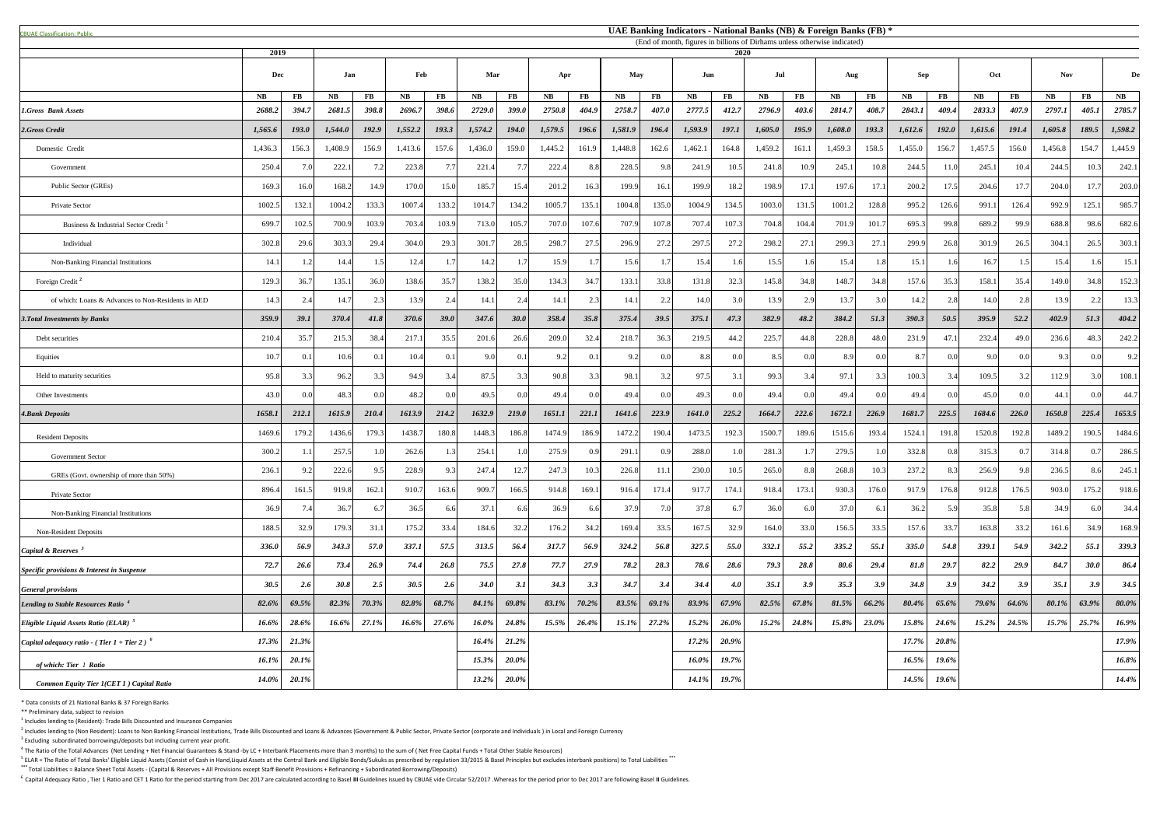| <b>CBUAE Classification: Public</b>                    |              |                   |                                                                                   |                   |              |                        |                     |             |                         |                   |                     |                   |                     |             | UAE Banking Indicators - National Banks (NB) & Foreign Banks (FB) * |                   |              |                   |              |                   |                         |             |              |                    |                         |
|--------------------------------------------------------|--------------|-------------------|-----------------------------------------------------------------------------------|-------------------|--------------|------------------------|---------------------|-------------|-------------------------|-------------------|---------------------|-------------------|---------------------|-------------|---------------------------------------------------------------------|-------------------|--------------|-------------------|--------------|-------------------|-------------------------|-------------|--------------|--------------------|-------------------------|
|                                                        | 2019         |                   | (End of month, figures in billions of Dirhams unless otherwise indicated)<br>2020 |                   |              |                        |                     |             |                         |                   |                     |                   |                     |             |                                                                     |                   |              |                   |              |                   |                         |             |              |                    |                         |
|                                                        | Dec          |                   | Jan                                                                               |                   | Feb          |                        | Mar                 |             | Apr                     |                   | May                 |                   | Jun                 |             | Jul                                                                 |                   | Aug          |                   | <b>Sep</b>   |                   | Oct                     |             | <b>Nov</b>   |                    | De                      |
|                                                        |              |                   |                                                                                   |                   |              |                        |                     |             |                         |                   |                     |                   |                     |             |                                                                     |                   |              |                   |              |                   |                         |             |              |                    |                         |
| <b>1.Gross Bank Assets</b>                             | NB<br>2688.2 | $\bf FB$<br>394.7 | <b>NB</b><br>2681.5                                                               | $\bf FB$<br>398.8 | NB<br>2696.7 | $\mathbf{FB}$<br>398.6 | <b>NB</b><br>2729.0 | FB<br>399.0 | $N\mathbf{B}$<br>2750.8 | $\bf FB$<br>404.9 | <b>NB</b><br>2758.7 | $\bf FB$<br>407.0 | <b>NB</b><br>2777.5 | FB<br>412.7 | <b>NB</b><br>2796.9                                                 | $\bf FB$<br>403.6 | NB<br>2814.7 | $\bf FB$<br>408.7 | NB<br>2843.1 | $\bf FB$<br>409.4 | $N\mathbf{B}$<br>2833.3 | FB<br>407.9 | NB<br>2797.1 | <b>FB</b><br>405.1 | $N\mathbf{B}$<br>2785.7 |
| 2.Gross Credit                                         | 1,565.6      | 193.0             | 1,544.0                                                                           | 192.9             | 1,552.2      | 193.3                  | 1,574.2             | 194.0       | 1,579.5                 | 196.6             | 1,581.9             | 196.4             | 1,593.9             | 197.1       | 1,605.0                                                             | 195.9             | 1,608.0      | 193.3             | 1,612.6      | 192.0             | 1,615.6                 | 191.4       | 1,605.8      | 189.5              | 1,598.2                 |
| Domestic Credit                                        | 1,436.3      | 156.3             | 1,408.9                                                                           | 156.9             | 1,413.6      | 157.6                  | 1,436.0             | 159.0       | 1,445.2                 | 161.9             | 1,448.8             | 162.6             | 1,462.1             | 164.8       | 1,459.2                                                             | 161.1             | 1,459.3      | 158.5             | 1,455.0      | 156.7             | 1,457.5                 | 156.0       | 1,456.8      | 154.7              | 1,445.9                 |
|                                                        | 250.4        |                   | 222.1                                                                             |                   | 223.8        |                        | 221.4               |             | 222.4                   | -8.8              | 228.5               | 9.8               | 241.9               | 10.5        | 241.8                                                               | 10.9              | 245.1        | 10.8              | 244.5        | 11.0              | 245.1                   | 10.4        | 244.5        | 10.3               |                         |
| Government                                             |              |                   |                                                                                   |                   |              |                        |                     |             |                         |                   |                     |                   |                     |             |                                                                     | 17.1              |              |                   |              |                   | 204.6                   |             | 204.0        |                    | 242.                    |
| Public Sector (GREs)                                   | 169.3        | 16.0              | 168.2                                                                             | 14.9              | 170.0        | 15.0                   | 185.7               | 15.4        | 201.2                   | 16.3              | 199.9               | 16.1              | 199.9               | 18.2        | 198.9                                                               |                   | 197.6        | 17.1              | 200.2        | 17.5              |                         | 17.7        |              | 17.7               | 203.0                   |
| Private Sector                                         | 1002.5       | 132.1             | 1004.2                                                                            | 133.3             | 1007.4       | 133.2                  | 1014.7              | 134.2       | 1005.                   | 135.1             | 1004.8              | 135.0             | 1004.9              | 134.5       | 1003.0                                                              | 131.5             | 1001.2       | 128.8             | 995.2        | 126.6             | 991.1                   | 126.4       | 992.9        | 125.1              | 985.                    |
| Business & Industrial Sector Credit                    | 699.         | 102.5             | 700.9                                                                             | 103.9             | 703.4        | 103.9                  | 713.0               | 105.7       | 707.0                   | 107.6             | 707.9               | 107.8             | 707.4               | 107.3       | 704.8                                                               | 104.4             | 701.9        | 101.7             | 695.3        | 99.8              | 689.2                   | 99.9        | 688.8        | 98.6               | 682.6                   |
| Individual                                             | 302.8        | 29.6              | 303.3                                                                             | 29.4              | 304.0        | 29.3                   | 301.7               | 28.5        | 298.7                   | 27.5              | 296.9               | 27.2              | 297.5               | 27.2        | 298.2                                                               | 27.1              | 299.3        | 27.1              | 299.9        | 26.8              | 301.9                   | 26.5        | 304.1        | 26.5               | 303.1                   |
| Non-Banking Financial Institutions                     | 14.1         |                   | 14.4                                                                              |                   | 12.4         |                        | 14.2                |             | 15.9                    |                   | 15.6                | 1.71              | 15.4                |             | 15.5                                                                | 1 G               | 15.4         | 1.8 <sup>1</sup>  | 15.1         |                   | 16.7                    |             | 15.4         |                    | 15.1                    |
| Foreign Credit <sup>2</sup>                            | 129.3        | 36.7              | 135.1                                                                             | 36.0              | 138.6        | 35.7                   | 138.2               | 35.0        | 134.3                   | 34.7              | 133.1               | 33.8              | 131.8               | 32.3        | 145.8                                                               | 34.8              | 148.7        | 34.8              | 157.6        | 35.3              | 158.1                   | 35.4        | 149.0        | 34.8               | 152.3                   |
| of which: Loans & Advances to Non-Residents in AED     | 14.3         | 2.4               | 14.7                                                                              | 2.3               | 13.9         | 2.4                    | 14.                 | 2.4         | 14.1                    | 2.3               | 14.1                | 2.2               | 14.0                | 3.0         | 13.9                                                                | 2.9               | 13.7         | 3.0               | 14.2         | 2.8               | 14.0                    |             | 13.9         | 2.2                | 13.3                    |
| <b>3. Total Investments by Banks</b>                   | 359.9        | 39.1              | 370.4                                                                             | 41.8              | 370.6        | 39.0                   | 347.6               | 30.0        | 358.4                   | 35.8              | 375.4               | 39.5              | 375.1               | 47.3        | 382.9                                                               | 48.2              | 384.2        | 51.3              | 390.3        | 50.5              | 395.9                   | 52.2        | 402.9        | 51.3               | 404.2                   |
| Debt securities                                        | 210.4        | 35.7              | 215.3                                                                             | 38.4              | 217.         | 35.5                   | 201.6               | 26.6        | 209.0                   | 32.4              | 218.                | 36.3              | 219.5               | 44.2        | 225.                                                                | 44.8              | 228.8        | 48.0              | 231.         | 47.1              | 232.4                   | 49.0        | 236.6        | 48.3               | 242.2                   |
| Equities                                               | 10.7         | 0.1               | 10.6                                                                              | 0.1               | 10.4         | 0.1                    | 9.0                 | 0.1         | 9.2                     | 0.1               | 9.2                 | 0.0               | 8.8                 | 0.0         | 8.5                                                                 | 0.0               | 8.9          | 0.0               | 8.7          | 0.0               | 9.0                     |             | 9.3          |                    | 9.2                     |
| Held to maturity securities                            | 95.8         | 3.3               | 96.2                                                                              | 3.3               | 94.9         | 3.4                    | 87.5                | 3.3         | 90.8                    | 3.3               | 98.1                | 3.2               | 97.5                | 3.1         | 99.3                                                                | 3.4               | 97.1         | 3.3               | 100.3        | 3.4               | 109.5                   |             | 112.9        | 3.0                | 108.1                   |
| Other Investments                                      | 43.0         |                   | 48.3                                                                              |                   | 48.2         | 0.0                    | 49.5                | 0.0         | 49.4                    | 0.0               | 49.                 | 0 <sub>0</sub>    | 49.3                |             | 49.4                                                                | 0.0               | 49.4         | 0.0               | 49.4         | 0.0               | 45.0                    |             | 44.1         |                    | 44.7                    |
| <b>4.Bank Deposits</b>                                 | 1658.1       | 212.1             | 1615.9                                                                            | 210.4             | 1613.9       | 214.2                  | 1632.9              | 219.0       | 1651.1                  | 221.1             | 1641.6              | 223.9             | 1641.0              | 225.2       | 1664.7                                                              | 222.6             | 1672.1       | 226.9             | 1681.7       | 225.5             | 1684.6                  | 226.0       | 1650.8       | 225.4              | 1653.5                  |
| <b>Resident Deposits</b>                               | 1469.6       | 179.2             | 1436.6                                                                            | 179.3             | 1438.7       | 180.8                  | 1448.3              | 186.8       | 1474.9                  | 186.9             | 1472.2              | 190.4             | 1473.5              | 192.        | 1500.                                                               | 189.6             | 1515.6       | 193.4             | 1524.        | 191.8             | 1520.8                  | 192.8       | 1489.2       | 190.5              | 1484.6                  |
| <b>Government Sector</b>                               | 300.2        |                   | 257.5                                                                             |                   | 262.6        |                        | 254.                |             | 275.9                   | 0.9               | 291.                | 0.9               | 288.0               |             | 281.3                                                               |                   | 279.5        | 1.0               | 332.8        | 0.8               | 315.3                   |             | 314.8        | 0.7                | 286.5                   |
| GREs (Govt. ownership of more than 50%)                | 236.1        | 9.2               | 222.6                                                                             |                   | 228.9        | 9.3                    | 247.4               | 12.7        | 247.3                   | 10.3              | 226.8               | 11.1              | 230.0               | 10.5        | 265.0                                                               | 8.8               | 268.8        | 10.3              | 237.2        | 8.3               | 256.9                   |             | 236.5        | 8.6                | 245.                    |
| Private Sector                                         | 896.4        | 161.5             | 919.8                                                                             | 162.1             | 910.7        | 163.6                  | 909.7               | 166.5       | 914.8                   | 169.1             | 916.4               | 171.4             | 917.7               | 174.        | 918.4                                                               | 173.1             | 930.3        | 176.0             | 917.9        | 176.8             | 912.8                   | 176.5       | 903.0        | 175.2              | 918.6                   |
| Non-Banking Financial Institutions                     | 36.9         | 7.4 <sub>1</sub>  | 36.7                                                                              |                   | 36.5         | 6.6                    | 37.1                | 6.6         | 36.9                    | -6.6              | 37.9                |                   | 37.8                | - 6.        | 36.0                                                                | 6.0               | 37.0         | 6.1               | 36.2         | 5.9               | 35.8                    | 5.8         | 34.9         | 6.0                | 34.4                    |
| Non-Resident Deposits                                  | 188.5        | 32.9              | 179.3                                                                             |                   | 175.2        | 33.4                   | 184.6               | 32.2        | 176.2                   | 34.2              | 169.4               | 33.5              | 167.5               | 32.9        | 164.0                                                               | 33.0              | 156.5        | 33.5              | 157.6        | 33.7              | 163.8                   | 33.2        | 161.6        | 34.9               | 168.9                   |
| Capital & Reserves <sup>3</sup>                        | 336.0        | 56.9              | 343.3                                                                             | 57.0              | 337.1        | 57.5                   | 313.5               | 56.4        | 317.7                   | 56.9              | 324.2               | 56.8              | 327.5               | 55.0        | 332.1                                                               | 55.2              | 335.2        | 55.1              | 335.0        | 54.8              | 339.1                   | 54.9        | 342.2        | 55.1               | 339.3                   |
| Specific provisions & Interest in Suspense             | 72.7         | 26.6              | 73.4                                                                              | 26.9              | 74.4         | 26.8                   | 75.5                | 27.8        | 77.7                    | 27.9              | 78.2                | 28.3              | 78.6                | 28.6        | 79.3                                                                | 28.8              | 80.6         | 29.4              | 81.8         | 29.7              | 82.2                    | 29.9        | 84.7         | <b>30.0</b>        | 86.4                    |
| <b>General provisions</b>                              | 30.5         | 2.6               | 30.8                                                                              | 2.5               | 30.5         | 2.6                    | 34.0                | 3.1         | 34.3                    | 3.3               | 34.7                | 3.4               | 34.4                | <b>4.0</b>  | 35.1                                                                | 3.9               | 35.3         | 3.9               | 34.8         | 3.9               | 34.2                    | 3.9         | 35.1         | 3.9                | 34.5                    |
| Lending to Stable Resources Ratio <sup>4</sup>         | 82.6%        | 69.5%             | 82.3%                                                                             | 70.3%             | 82.8%        | 68.7%                  | 84.1%               | 69.8%       | 83.1%                   | 70.2%             | 83.5%               | 69.1%             | 83.9%               | 67.9%       | 82.5%                                                               | 67.8%             | 81.5%        | 66.2%             | 80.4%        | 65.6%             | 79.6%                   | 64.6%       | 80.1%        | 63.9%              | $80.0\%$                |
| <i>Eligible Liquid Assets Ratio (ELAR)</i>             | 16.6%        | 28.6%             | 16.6%                                                                             | 27.1%             | 16.6%        | 27.6%                  | 16.0%               | 24.8%       | 15.5%                   | 26.4%             | 15.1%               | 27.2%             | 15.2%               | 26.0%       | $15.2\%$                                                            | 24.8%             | 15.8%        | 23.0%             | 15.8%        | 24.6%             | 15.2%                   | 24.5%       | 15.7%        | 25.7%              | 16.9%                   |
| <i>Capital adequacy ratio - (Tier 1 + Tier 2)</i> $^6$ | 17.3%        | 21.3%             |                                                                                   |                   |              |                        | 16.4%               | 21.2%       |                         |                   |                     |                   | 17.2%               | 20.9%       |                                                                     |                   |              |                   | 17.7%        | $20.8\%$          |                         |             |              |                    | 17.9%                   |
| 16.1%                                                  |              | $20.1\%$          |                                                                                   |                   |              |                        | 15.3%               | 20.0%       |                         |                   |                     |                   | 16.0%               | 19.7%       |                                                                     |                   |              |                   | 16.5%        | 19.6%             |                         |             |              |                    | 16.8%                   |
| of which: Tier 1 Ratio<br>14.0%                        |              | $20.1\%$          |                                                                                   |                   |              |                        | 13.2%               | 20.0%       |                         |                   |                     |                   | 14.1%               | 19.7%       |                                                                     |                   |              |                   | 14.5%        | 19.6%             |                         |             |              |                    | 14.4%                   |
| <b>Common Equity Tier 1(CET 1) Capital Ratio</b>       |              |                   |                                                                                   |                   |              |                        |                     |             |                         |                   |                     |                   |                     |             |                                                                     |                   |              |                   |              |                   |                         |             |              |                    |                         |

\* Data consists of 21 National Banks & 37 Foreign Banks

\*\* Preliminary data, subject to revision

 $<sup>1</sup>$  Includes lending to (Resident): Trade Bills Discounted and Insurance Companies</sup>

 $^2$  Includes lending to (Non Resident): Loans to Non Banking Financial Institutions, Trade Bills Discounted and Loans & Advances (Government & Public Sector, Private Sector (corporate and Individuals) in Local and Foreig

 $3$  Excluding subordinated borrowings/deposits but including current year profit.

 $^4$  The Ratio of the Total Advances (Net Lending + Net Financial Guarantees & Stand -by LC + Interbank Placements more than 3 months) to the sum of (Net Free Capital Funds + Total Other Stable Resources)

<sup>5</sup> ELAR = The Ratio of Total Banks' Eligible Liquid Assets (Consist of Cash in Hand,Liquid Assets at the Central Bank and Eligible Bonds/Sukuks as prescribed by regulation 33/2015 & Basel Principles but excludes interbank \*\*\* Total Liabilities = Balance Sheet Total Assets - (Capital & Reserves + All Provisions except Staff Benefit Provisions + Refinancing + Subordinated Borrowing/Deposits)

<sup>6</sup> Capital Adequacy Ratio, Tier 1 Ratio and CET 1 Ratio for the period starting from Dec 2017 are calculated according to Basel III Guidelines issued by CBUAE vide Circular 52/2017. Whereas for the period prior to Dec 201